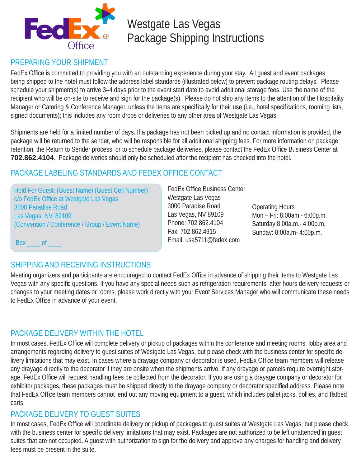

# Westgate Las Vegas Package Shipping Instructions

## PREPARING YOUR SHIPMENT

FedEx Office is committed to providing you with an outstanding experience during your stay. All quest and event packages being shipped to the hotel must follow the address label standards (illustrated below) to prevent package routing delays. Please schedule your shipment(s) to arrive 3–4 days prior to the event start date to avoid additional storage fees. Use the name of the recipient who will be on-site to receive and sign for the package(s). Please do not ship any items to the attention of the Hospitality Manager or Catering & Conference Manager, unless the items are specifically for their use (i.e., hotel specifications, rooming lists, signed documents); this includes any room drops or deliveries to any other area of Westgate Las Vegas.

Shipments are held for a limited number of days. If a package has not been picked up and no contact information is provided, the package will be returned to the sender, who will be responsible for all additional shipping fees. For more information on package retention, the Return to Sender process, or to schedule package deliveries, please contact the FedEx Office Business Center at **702.862.4104**. Package deliveries should only be scheduled after the recipient has checked into the hotel.

## PACKAGE LABELING STANDARDS AND FEDEX OFFICE CONTACT

Hold For Guest: (Guest Name) (Guest Cell Number) c/o FedEx Office at Westgate Las Vegas 3000 Paradise Road Las Vegas, NV, 89109 (Convention / Conference / Group / Event Name)

**FedEx Office Business Center** Westgate Las Vegas 3000 Paradise Road Las Vegas, NV 89109 Phone: 702.862.4104 Fax: 702.862.4915 Email: usa5711@fedex.com

Operating Hours Mon – Fri: 8:00am - 6:00p.m. Saturday:8:00a.m.- 4:00p.m. Sunday: 8:00a.m- 4:00p.m.

Box of

## SHIPPING AND RECEIVING INSTRUCTIONS

Meeting organizers and participants are encouraged to contact FedEx Office in advance of shipping their items to Westgate Las Vegas with any specific questions. If you have any special needs such as refrigeration requirements, after hours delivery requests or changes to your meeting dates or rooms, please work directly with your Event Services Manager who will communicate these needs to FedEx Office in advance of your event.

## PACKAGE DELIVERY WITHIN THE HOTEL

In most cases, FedEx Office will complete delivery or pickup of packages within the conference and meeting rooms, lobby area and arrangements regarding delivery to guest suites of Westgate Las Vegas, but please check with the business center for specific delivery limitations that may exist. In cases where a drayage company or decorator is used, FedEx Office team members will release any drayage directly to the decorator if they are onsite when the shipments arrive. If any drayage or parcels require overnight storage, FedEx Office will request handling fees be collected from the decorator. If you are using a drayage company or decorator for exhibitor packages, these packages must be shipped directly to the drayage company or decorator specified address. Please note that FedEx Office team members cannot lend out any moving equipment to a guest, which includes pallet jacks, dollies, and flatbed carts.

### PACKAGE DELIVERY TO GUEST SUITES

In most cases, FedEx Office will coordinate delivery or pickup of packages to guest suites at Westgate Las Vegas, but please check with the business center for specific delivery limitations that may exist. Packages are not authorized to be left unattended in quest suites that are not occupied. A guest with authorization to sign for the delivery and approve any charges for handling and delivery fees must be present in the suite.